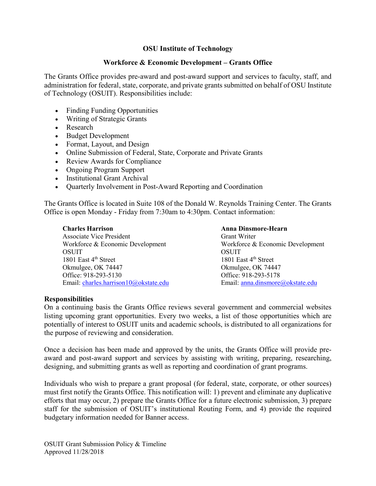# **OSU Institute of Technology**

#### **Workforce & Economic Development – Grants Office**

The Grants Office provides pre-award and post-award support and services to faculty, staff, and administration for federal, state, corporate, and private grants submitted on behalf of OSU Institute of Technology (OSUIT). Responsibilities include:

- Finding Funding Opportunities
- Writing of Strategic Grants
- Research
- Budget Development
- Format, Layout, and Design
- Online Submission of Federal, State, Corporate and Private Grants
- Review Awards for Compliance
- Ongoing Program Support
- Institutional Grant Archival
- Quarterly Involvement in Post-Award Reporting and Coordination

The Grants Office is located in Suite 108 of the Donald W. Reynolds Training Center. The Grants Office is open Monday - Friday from 7:30am to 4:30pm. Contact information:

**Charles Harrison Anna Dinsmore-Hearn** Associate Vice President Workforce & Economic Development Workforce & Economic Development OSUIT OSUIT 1801 East 4<sup>th</sup> Street 1801 East 4<sup>th</sup> Street Okmulgee, OK 74447 Okmulgee, OK 74447 Office: 918-293-5130 Office: 918-293-5178 Email: [charles.harrison10@okstate.edu](mailto:charles.harrison10@okstate.edu) Email: [anna.dinsmore@okstate.edu](mailto:anna.dinsmore@okstate.edu)

### **Responsibilities**

On a continuing basis the Grants Office reviews several government and commercial websites listing upcoming grant opportunities. Every two weeks, a list of those opportunities which are potentially of interest to OSUIT units and academic schools, is distributed to all organizations for the purpose of reviewing and consideration.

Once a decision has been made and approved by the units, the Grants Office will provide preaward and post-award support and services by assisting with writing, preparing, researching, designing, and submitting grants as well as reporting and coordination of grant programs.

Individuals who wish to prepare a grant proposal (for federal, state, corporate, or other sources) must first notify the Grants Office. This notification will: 1) prevent and eliminate any duplicative efforts that may occur, 2) prepare the Grants Office for a future electronic submission, 3) prepare staff for the submission of OSUIT's institutional Routing Form, and 4) provide the required budgetary information needed for Banner access.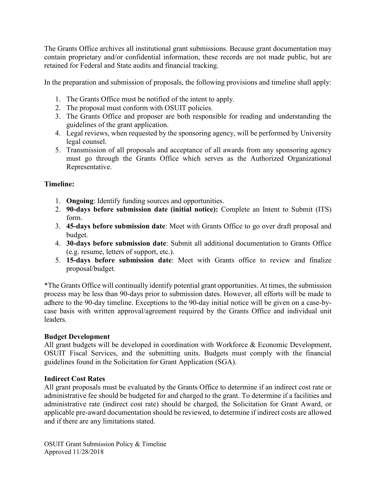The Grants Office archives all institutional grant submissions. Because grant documentation may contain proprietary and/or confidential information, these records are not made public, but are retained for Federal and State audits and financial tracking.

In the preparation and submission of proposals, the following provisions and timeline shall apply:

- 1. The Grants Office must be notified of the intent to apply.
- 2. The proposal must conform with OSUIT policies.
- 3. The Grants Office and proposer are both responsible for reading and understanding the guidelines of the grant application.
- 4. Legal reviews, when requested by the sponsoring agency, will be performed by University legal counsel.
- 5. Transmission of all proposals and acceptance of all awards from any sponsoring agency must go through the Grants Office which serves as the Authorized Organizational Representative.

### **Timeline:**

- 1. **Ongoing**: Identify funding sources and opportunities.
- 2. **90-days before submission date (initial notice):** Complete an Intent to Submit (ITS) form.
- 3. **45-days before submission date**: Meet with Grants Office to go over draft proposal and budget.
- 4. **30-days before submission date**: Submit all additional documentation to Grants Office (e.g. resume, letters of support, etc.).
- 5. **15-days before submission date**: Meet with Grants office to review and finalize proposal/budget.

\*The Grants Office will continually identify potential grant opportunities. At times, the submission process may be less than 90-days prior to submission dates. However, all efforts will be made to adhere to the 90-day timeline. Exceptions to the 90-day initial notice will be given on a case-bycase basis with written approval/agreement required by the Grants Office and individual unit leaders.

### **Budget Development**

All grant budgets will be developed in coordination with Workforce & Economic Development, OSUIT Fiscal Services, and the submitting units. Budgets must comply with the financial guidelines found in the Solicitation for Grant Application (SGA).

### **Indirect Cost Rates**

All grant proposals must be evaluated by the Grants Office to determine if an indirect cost rate or administrative fee should be budgeted for and charged to the grant. To determine if a facilities and administrative rate (indirect cost rate) should be charged, the Solicitation for Grant Award, or applicable pre-award documentation should be reviewed, to determine if indirect costs are allowed and if there are any limitations stated.